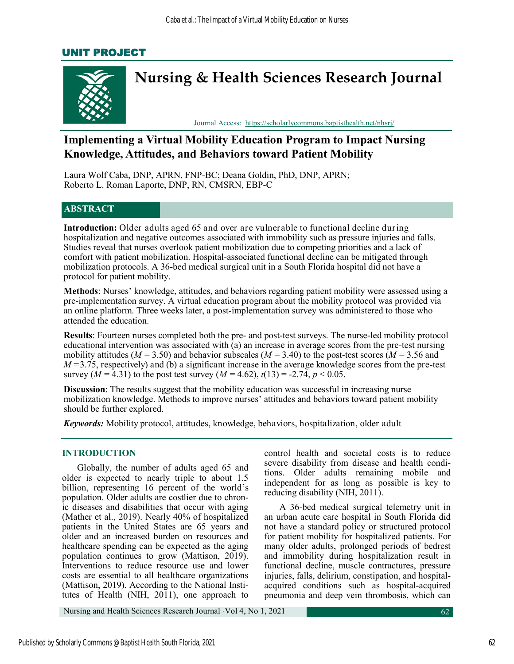# UNIT PROJECT



# **Implementing a Virtual Mobility Education Program to Impact Nursing Knowledge, Attitudes, and Behaviors toward Patient Mobility**

Laura Wolf Caba, DNP, APRN, FNP-BC; Deana Goldin, PhD, DNP, APRN; Roberto L. Roman Laporte, DNP, RN, CMSRN, EBP-C

# **ABSTRACT**

**Introduction:** Older adults aged 65 and over are vulnerable to functional decline during hospitalization and negative outcomes associated with immobility such as pressure injuries and falls. Studies reveal that nurses overlook patient mobilization due to competing priorities and a lack of comfort with patient mobilization. Hospital-associated functional decline can be mitigated through mobilization protocols. A 36-bed medical surgical unit in a South Florida hospital did not have a protocol for patient mobility.

**Methods**: Nurses' knowledge, attitudes, and behaviors regarding patient mobility were assessed using a pre-implementation survey. A virtual education program about the mobility protocol was provided via an online platform. Three weeks later, a post-implementation survey was administered to those who attended the education.

**Results**: Fourteen nurses completed both the pre- and post-test surveys. The nurse-led mobility protocol educational intervention was associated with (a) an increase in average scores from the pre-test nursing mobility attitudes ( $M = 3.50$ ) and behavior subscales ( $M = 3.40$ ) to the post-test scores ( $M = 3.56$  and  $M = 3.75$ , respectively) and (b) a significant increase in the average knowledge scores from the pre-test survey  $(M = 4.31)$  to the post test survey  $(M = 4.62)$ ,  $t(13) = -2.74$ ,  $p < 0.05$ .

**Discussion**: The results suggest that the mobility education was successful in increasing nurse mobilization knowledge. Methods to improve nurses' attitudes and behaviors toward patient mobility should be further explored.

*Keywords:* Mobility protocol, attitudes, knowledge, behaviors, hospitalization, older adult

## **INTRODUCTION**

Globally, the number of adults aged 65 and older is expected to nearly triple to about 1.5 billion, representing 16 percent of the world's population. Older adults are costlier due to chronic diseases and disabilities that occur with aging (Mather et al., 2019). Nearly 40% of hospitalized patients in the United States are 65 years and older and an increased burden on resources and healthcare spending can be expected as the aging population continues to grow (Mattison, 2019). Interventions to reduce resource use and lower costs are essential to all healthcare organizations (Mattison, 2019). According to the National Institutes of Health (NIH, 2011), one approach to

control health and societal costs is to reduce severe disability from disease and health conditions. Older adults remaining mobile and independent for as long as possible is key to reducing disability (NIH, 2011).

A 36-bed medical surgical telemetry unit in an urban acute care hospital in South Florida did not have a standard policy or structured protocol for patient mobility for hospitalized patients. For many older adults, prolonged periods of bedrest and immobility during hospitalization result in functional decline, muscle contractures, pressure injuries, falls, delirium, constipation, and hospitalacquired conditions such as hospital-acquired pneumonia and deep vein thrombosis, which can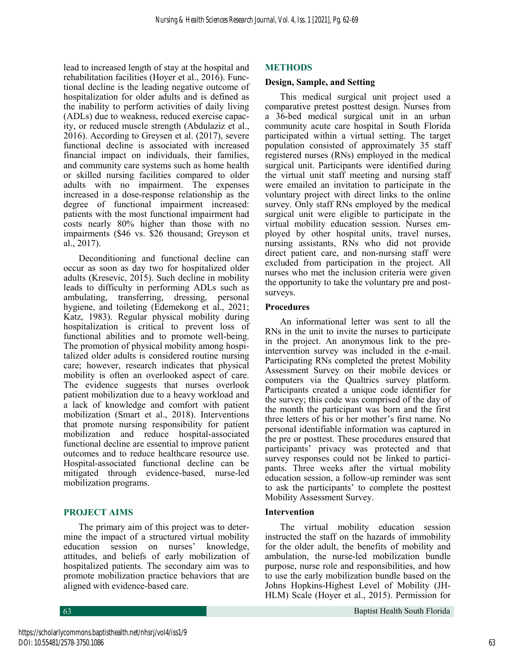lead to increased length of stay at the hospital and rehabilitation facilities (Hoyer et al., 2016). Functional decline is the leading negative outcome of hospitalization for older adults and is defined as the inability to perform activities of daily living (ADLs) due to weakness, reduced exercise capacity, or reduced muscle strength (Abdulaziz et al., 2016). According to Greysen et al. (2017), severe functional decline is associated with increased financial impact on individuals, their families, and community care systems such as home health or skilled nursing facilities compared to older adults with no impairment. The expenses increased in a dose-response relationship as the degree of functional impairment increased: patients with the most functional impairment had costs nearly 80% higher than those with no impairments (\$46 vs. \$26 thousand; Greyson et al., 2017).

Deconditioning and functional decline can occur as soon as day two for hospitalized older adults (Kresevic, 2015). Such decline in mobility leads to difficulty in performing ADLs such as ambulating, transferring, dressing, personal hygiene, and toileting (Edemekong et al., 2021; Katz, 1983). Regular physical mobility during hospitalization is critical to prevent loss of functional abilities and to promote well-being. The promotion of physical mobility among hospitalized older adults is considered routine nursing care; however, research indicates that physical mobility is often an overlooked aspect of care. The evidence suggests that nurses overlook patient mobilization due to a heavy workload and a lack of knowledge and comfort with patient mobilization (Smart et al., 2018). Interventions that promote nursing responsibility for patient mobilization and reduce hospital-associated functional decline are essential to improve patient outcomes and to reduce healthcare resource use. Hospital-associated functional decline can be mitigated through evidence-based, nurse-led mobilization programs.

# **PROJECT AIMS**

The primary aim of this project was to determine the impact of a structured virtual mobility education session on nurses' knowledge, attitudes, and beliefs of early mobilization of hospitalized patients. The secondary aim was to promote mobilization practice behaviors that are aligned with evidence-based care.

# **METHODS**

#### **Design, Sample, and Setting**

This medical surgical unit project used a comparative pretest posttest design. Nurses from a 36-bed medical surgical unit in an urban community acute care hospital in South Florida participated within a virtual setting. The target population consisted of approximately 35 staff registered nurses (RNs) employed in the medical surgical unit. Participants were identified during the virtual unit staff meeting and nursing staff were emailed an invitation to participate in the voluntary project with direct links to the online survey. Only staff RNs employed by the medical surgical unit were eligible to participate in the virtual mobility education session. Nurses employed by other hospital units, travel nurses, nursing assistants, RNs who did not provide direct patient care, and non-nursing staff were excluded from participation in the project. All nurses who met the inclusion criteria were given the opportunity to take the voluntary pre and postsurveys.

#### **Procedures**

An informational letter was sent to all the RNs in the unit to invite the nurses to participate in the project. An anonymous link to the preintervention survey was included in the e-mail. Participating RNs completed the pretest Mobility Assessment Survey on their mobile devices or computers via the Qualtrics survey platform. Participants created a unique code identifier for the survey; this code was comprised of the day of the month the participant was born and the first three letters of his or her mother's first name. No personal identifiable information was captured in the pre or posttest. These procedures ensured that participants' privacy was protected and that survey responses could not be linked to participants. Three weeks after the virtual mobility education session, a follow-up reminder was sent to ask the participants' to complete the posttest Mobility Assessment Survey.

#### **Intervention**

The virtual mobility education session instructed the staff on the hazards of immobility for the older adult, the benefits of mobility and ambulation, the nurse-led mobilization bundle purpose, nurse role and responsibilities, and how to use the early mobilization bundle based on the Johns Hopkins-Highest Level of Mobility (JH-HLM) Scale (Hoyer et al., 2015). Permission for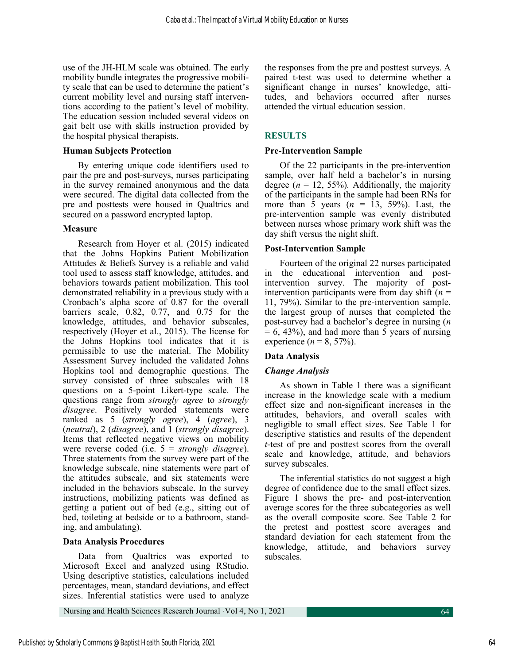use of the JH-HLM scale was obtained. The early mobility bundle integrates the progressive mobility scale that can be used to determine the patient's current mobility level and nursing staff interventions according to the patient's level of mobility. The education session included several videos on gait belt use with skills instruction provided by the hospital physical therapists.

#### **Human Subjects Protection**

By entering unique code identifiers used to pair the pre and post-surveys, nurses participating in the survey remained anonymous and the data were secured. The digital data collected from the pre and posttests were housed in Qualtrics and secured on a password encrypted laptop.

## **Measure**

Research from Hoyer et al. (2015) indicated that the Johns Hopkins Patient Mobilization Attitudes & Beliefs Survey is a reliable and valid tool used to assess staff knowledge, attitudes, and behaviors towards patient mobilization. This tool demonstrated reliability in a previous study with a Cronbach's alpha score of 0.87 for the overall barriers scale, 0.82, 0.77, and 0.75 for the knowledge, attitudes, and behavior subscales, respectively (Hoyer et al., 2015). The license for the Johns Hopkins tool indicates that it is permissible to use the material. The Mobility Assessment Survey included the validated Johns Hopkins tool and demographic questions. The survey consisted of three subscales with 18 questions on a 5-point Likert-type scale. The questions range from *strongly agree* to *strongly disagree*. Positively worded statements were ranked as 5 (*strongly agree*), 4 (*agree*), 3 (*neutral*), 2 (*disagree*), and 1 (*strongly disagree*). Items that reflected negative views on mobility were reverse coded (i.e. 5 = *strongly disagree*). Three statements from the survey were part of the knowledge subscale, nine statements were part of the attitudes subscale, and six statements were included in the behaviors subscale. In the survey instructions, mobilizing patients was defined as getting a patient out of bed (e.g., sitting out of bed, toileting at bedside or to a bathroom, standing, and ambulating).

# **Data Analysis Procedures**

Data from Qualtrics was exported to Microsoft Excel and analyzed using RStudio. Using descriptive statistics, calculations included percentages, mean, standard deviations, and effect sizes. Inferential statistics were used to analyze

the responses from the pre and posttest surveys. A paired t-test was used to determine whether a significant change in nurses' knowledge, attitudes, and behaviors occurred after nurses attended the virtual education session.

# **RESULTS**

# **Pre-Intervention Sample**

Of the 22 participants in the pre-intervention sample, over half held a bachelor's in nursing degree ( $n = 12$ , 55%). Additionally, the majority of the participants in the sample had been RNs for more than 5 years (*n* = 13, 59%). Last, the pre-intervention sample was evenly distributed between nurses whose primary work shift was the day shift versus the night shift.

# **Post-Intervention Sample**

Fourteen of the original 22 nurses participated in the educational intervention and postintervention survey. The majority of postintervention participants were from day shift (*n* = 11, 79%). Similar to the pre-intervention sample, the largest group of nurses that completed the post-survey had a bachelor's degree in nursing (*n*   $= 6, 43\%$ , and had more than 5 years of nursing experience  $(n = 8, 57\%)$ .

# **Data Analysis**

# *Change Analysis*

As shown in Table 1 there was a significant increase in the knowledge scale with a medium effect size and non-significant increases in the attitudes, behaviors, and overall scales with negligible to small effect sizes. See Table 1 for descriptive statistics and results of the dependent *t*-test of pre and posttest scores from the overall scale and knowledge, attitude, and behaviors survey subscales.

The inferential statistics do not suggest a high degree of confidence due to the small effect sizes. Figure 1 shows the pre- and post-intervention average scores for the three subcategories as well as the overall composite score. See Table 2 for the pretest and posttest score averages and standard deviation for each statement from the knowledge, attitude, and behaviors survey subscales.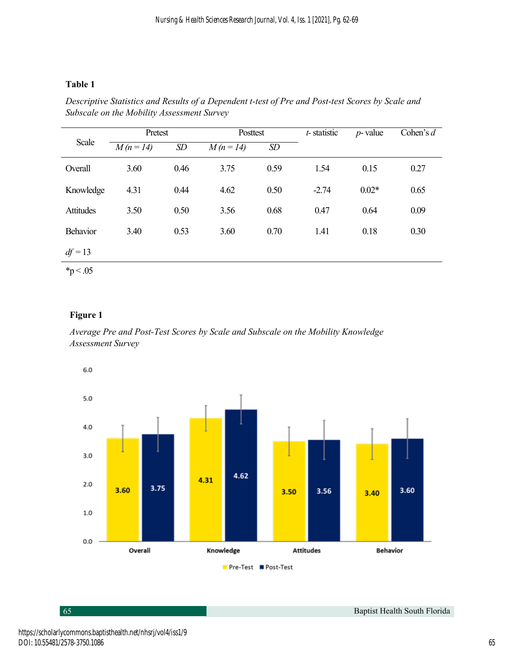# **Table 1**

| Scale         | Pretest   |      | Posttest  |      | t-statistic | $p$ -value | Cohen's $d$ |
|---------------|-----------|------|-----------|------|-------------|------------|-------------|
|               | $M(n=14)$ | SD   | $M(n=14)$ | SD   |             |            |             |
| Overall       | 3.60      | 0.46 | 3.75      | 0.59 | 1.54        | 0.15       | 0.27        |
| Knowledge     | 4.31      | 0.44 | 4.62      | 0.50 | $-2.74$     | $0.02*$    | 0.65        |
| Attitudes     | 3.50      | 0.50 | 3.56      | 0.68 | 0.47        | 0.64       | 0.09        |
| Behavior      | 3.40      | 0.53 | 3.60      | 0.70 | 1.41        | 0.18       | 0.30        |
| $df = 13$     |           |      |           |      |             |            |             |
| $*_{p}$ < .05 |           |      |           |      |             |            |             |

*Descriptive Statistics and Results of a Dependent t-test of Pre and Post-test Scores by Scale and Subscale on the Mobility Assessment Survey*

# **Figure 1**

*Average Pre and Post-Test Scores by Scale and Subscale on the Mobility Knowledge Assessment Survey*



65 Baptist Health South Florida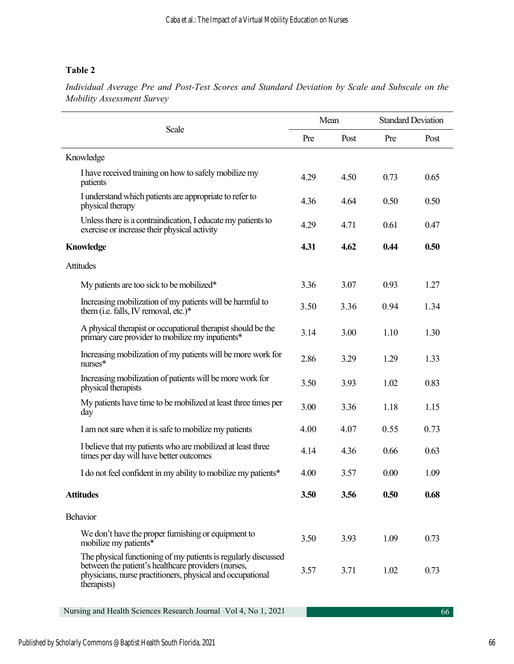# **Table 2**

*Individual Average Pre and Post-Test Scores and Standard Deviation by Scale and Subscale on the Mobility Assessment Survey* 

| Scale                                                                                                                                                                                              | Mean |      | <b>Standard Deviation</b> |      |
|----------------------------------------------------------------------------------------------------------------------------------------------------------------------------------------------------|------|------|---------------------------|------|
|                                                                                                                                                                                                    | Pre  | Post | Pre                       | Post |
| Knowledge                                                                                                                                                                                          |      |      |                           |      |
| I have received training on how to safely mobilize my<br>patients                                                                                                                                  | 4.29 | 4.50 | 0.73                      | 0.65 |
| I understand which patients are appropriate to refer to<br>physical therapy                                                                                                                        | 4.36 | 4.64 | 0.50                      | 0.50 |
| Unless there is a contraindication, I educate my patients to<br>exercise or increase their physical activity                                                                                       | 4.29 | 4.71 | 0.61                      | 0.47 |
| <b>Knowledge</b>                                                                                                                                                                                   |      | 4.62 | 0.44                      | 0.50 |
| Attitudes                                                                                                                                                                                          |      |      |                           |      |
| My patients are too sick to be mobilized*                                                                                                                                                          | 3.36 | 3.07 | 0.93                      | 1.27 |
| Increasing mobilization of my patients will be harmful to<br>them (i.e. falls, IV removal, etc.)*                                                                                                  | 3.50 | 3.36 | 0.94                      | 1.34 |
| A physical therapist or occupational therapist should be the<br>primary care provider to mobilize my inpatients*                                                                                   | 3.14 | 3.00 | 1.10                      | 1.30 |
| Increasing mobilization of my patients will be more work for<br>$n$ urses $*$                                                                                                                      | 2.86 | 3.29 | 1.29                      | 1.33 |
| Increasing mobilization of patients will be more work for<br>physical therapists                                                                                                                   | 3.50 | 3.93 | 1.02                      | 0.83 |
| My patients have time to be mobilized at least three times per<br>day                                                                                                                              | 3.00 | 3.36 | 1.18                      | 1.15 |
| I am not sure when it is safe to mobilize my patients                                                                                                                                              | 4.00 | 4.07 | 0.55                      | 0.73 |
| I believe that my patients who are mobilized at least three<br>times per day will have better outcomes                                                                                             | 4.14 | 4.36 | 0.66                      | 0.63 |
| I do not feel confident in my ability to mobilize my patients*                                                                                                                                     | 4.00 | 3.57 | 0.00                      | 1.09 |
| <b>Attitudes</b>                                                                                                                                                                                   | 3.50 | 3.56 | 0.50                      | 0.68 |
| Behavior                                                                                                                                                                                           |      |      |                           |      |
| We don't have the proper furnishing or equipment to<br>mobilize my patients*                                                                                                                       | 3.50 | 3.93 | 1.09                      | 0.73 |
| The physical functioning of my patients is regularly discussed<br>between the patient's healthcare providers (nurses,<br>physicians, nurse practitioners, physical and occupational<br>therapists) | 3.57 | 3.71 | 1.02                      | 0.73 |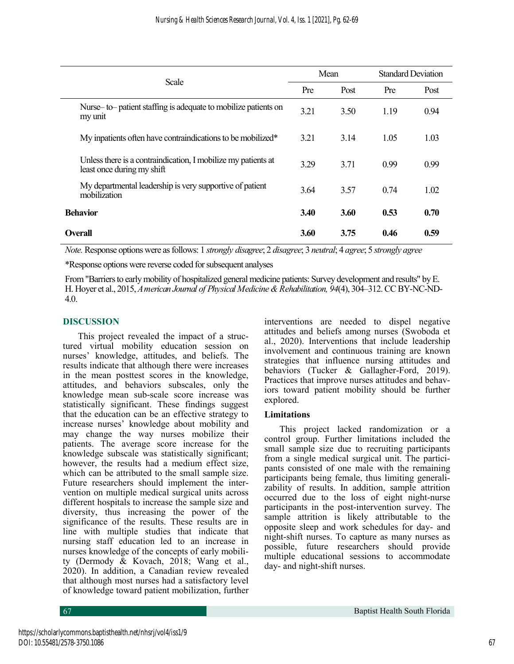| Scale                                                                                       |      | Mean |      | <b>Standard Deviation</b> |  |
|---------------------------------------------------------------------------------------------|------|------|------|---------------------------|--|
|                                                                                             |      | Post | Pre  | Post                      |  |
| Nurse-to-patient staffing is adequate to mobilize patients on<br>my unit                    | 3.21 | 3.50 | 1.19 | 0.94                      |  |
| My inpatients often have contraindications to be mobilized*                                 | 3.21 | 3.14 | 1.05 | 1.03                      |  |
| Unless there is a contraindication, I mobilize my patients at<br>least once during my shift | 3.29 | 3.71 | 0.99 | 0.99                      |  |
| My departmental leadership is very supportive of patient<br>mobilization                    | 3.64 | 3.57 | 0.74 | 1.02                      |  |
| <b>Behavior</b>                                                                             |      | 3.60 | 0.53 | 0.70                      |  |
| <b>Overall</b>                                                                              | 3.60 | 3.75 | 0.46 | 0.59                      |  |

*Note.* Response options were as follows: 1 *strongly disagree*; 2 *disagree*; 3 *neutral*; 4 *agree*; 5 *strongly agree* 

\*Response options were reverse coded for subsequent analyses

From "Barriers to early mobility of hospitalized general medicine patients: Survey development and results" by E. H. Hoyer et al., 2015, *American Journal of Physical Medicine & Rehabilitation, 94*(4), 304–312. CC BY-NC-ND-4.0.

# **DISCUSSION**

This project revealed the impact of a structured virtual mobility education session on nurses' knowledge, attitudes, and beliefs. The results indicate that although there were increases in the mean posttest scores in the knowledge, attitudes, and behaviors subscales, only the knowledge mean sub-scale score increase was statistically significant. These findings suggest that the education can be an effective strategy to increase nurses' knowledge about mobility and may change the way nurses mobilize their patients. The average score increase for the knowledge subscale was statistically significant; however, the results had a medium effect size, which can be attributed to the small sample size. Future researchers should implement the intervention on multiple medical surgical units across different hospitals to increase the sample size and diversity, thus increasing the power of the significance of the results. These results are in line with multiple studies that indicate that nursing staff education led to an increase in nurses knowledge of the concepts of early mobility (Dermody & Kovach, 2018; Wang et al., 2020). In addition, a Canadian review revealed that although most nurses had a satisfactory level of knowledge toward patient mobilization, further interventions are needed to dispel negative attitudes and beliefs among nurses (Swoboda et al., 2020). Interventions that include leadership involvement and continuous training are known strategies that influence nursing attitudes and behaviors (Tucker & Gallagher-Ford, 2019). Practices that improve nurses attitudes and behaviors toward patient mobility should be further explored.

## **Limitations**

This project lacked randomization or a control group. Further limitations included the small sample size due to recruiting participants from a single medical surgical unit. The participants consisted of one male with the remaining participants being female, thus limiting generalizability of results. In addition, sample attrition occurred due to the loss of eight night-nurse participants in the post-intervention survey. The sample attrition is likely attributable to the opposite sleep and work schedules for day- and night-shift nurses. To capture as many nurses as possible, future researchers should provide multiple educational sessions to accommodate day- and night-shift nurses.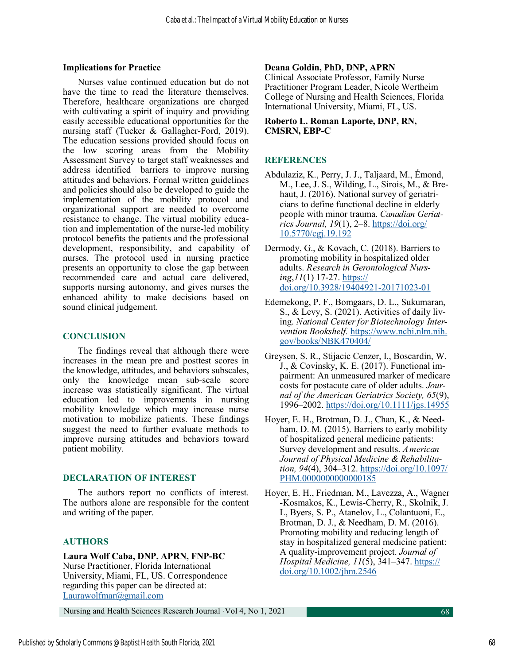#### **Implications for Practice**

Nurses value continued education but do not have the time to read the literature themselves. Therefore, healthcare organizations are charged with cultivating a spirit of inquiry and providing easily accessible educational opportunities for the nursing staff (Tucker & Gallagher-Ford, 2019). The education sessions provided should focus on the low scoring areas from the Mobility Assessment Survey to target staff weaknesses and address identified barriers to improve nursing attitudes and behaviors. Formal written guidelines and policies should also be developed to guide the implementation of the mobility protocol and organizational support are needed to overcome resistance to change. The virtual mobility education and implementation of the nurse-led mobility protocol benefits the patients and the professional development, responsibility, and capability of nurses. The protocol used in nursing practice presents an opportunity to close the gap between recommended care and actual care delivered, supports nursing autonomy, and gives nurses the enhanced ability to make decisions based on sound clinical judgement.

# **CONCLUSION**

The findings reveal that although there were increases in the mean pre and posttest scores in the knowledge, attitudes, and behaviors subscales, only the knowledge mean sub-scale score increase was statistically significant. The virtual education led to improvements in nursing mobility knowledge which may increase nurse motivation to mobilize patients. These findings suggest the need to further evaluate methods to improve nursing attitudes and behaviors toward patient mobility.

## **DECLARATION OF INTEREST**

The authors report no conflicts of interest. The authors alone are responsible for the content and writing of the paper.

## **AUTHORS**

## **Laura Wolf Caba, DNP, APRN, FNP-BC**  Nurse Practitioner, Florida International

University, Miami, FL, US. Correspondence regarding this paper can be directed at: [Laurawolfmar@gmail.com](mailto:Laurawolfmar@gmail.com)

# **Deana Goldin, PhD, DNP, APRN**

Clinical Associate Professor, Family Nurse Practitioner Program Leader, Nicole Wertheim College of Nursing and Health Sciences, Florida International University, Miami, FL, US.

#### **Roberto L. Roman Laporte, DNP, RN, CMSRN, EBP-C**

## **REFERENCES**

- Abdulaziz, K., Perry, J. J., Taljaard, M., Émond, M., Lee, J. S., Wilding, L., Sirois, M., & Brehaut, J. (2016). National survey of geriatricians to define functional decline in elderly people with minor trauma. *Canadian Geriatrics Journal, 19*(1), 2–8. [https://doi.org/](https://doi.org/10.5770/cgj.19.192)  [10.5770/cgj.19.192](https://doi.org/10.5770/cgj.19.192)
- Dermody, G., & Kovach, C. (2018). Barriers to promoting mobility in hospitalized older adults. *Research in Gerontological Nursing*,*11*(1) 17-27. [https://](https://doi.org/10.3928/19404921-20171023-01) [doi.org/10.3928/19404921](https://doi.org/10.3928/19404921-20171023-01)-20171023-01
- Edemekong, P. F., Bomgaars, D. L., Sukumaran, S., & Levy, S. (2021). Activities of daily living. *National Center for Biotechnology Intervention Bookshelf.* [https://www.ncbi.nlm.nih.](https://www.ncbi.nlm.nih.gov/books/NBK470404/)  [gov/books/NBK470404/](https://www.ncbi.nlm.nih.gov/books/NBK470404/)
- Greysen, S. R., Stijacic Cenzer, I., Boscardin, W. J., & Covinsky, K. E. (2017). Functional impairment: An unmeasured marker of medicare costs for postacute care of older adults. *Journal of the American Geriatrics Society, 65*(9), 1996–2002. <https://doi.org/10.1111/jgs.14955>
- Hoyer, E. H., Brotman, D. J., Chan, K., & Needham, D. M. (2015). Barriers to early mobility of hospitalized general medicine patients: Survey development and results. *American Journal of Physical Medicine & Rehabilitation, 94*(4), 304–312. [https://doi.org/10.1097/](https://doi.org/10.1097/PHM.0000000000000185) [PHM.0000000000000185](https://doi.org/10.1097/PHM.0000000000000185)
- Hoyer, E. H., Friedman, M., Lavezza, A., Wagner ‐Kosmakos, K., Lewis‐Cherry, R., Skolnik, J. L, Byers, S. P., Atanelov, L., Colantuoni, E., Brotman, D. J., & Needham, D. M. (2016). Promoting mobility and reducing length of stay in hospitalized general medicine patient: A quality-improvement project. *Journal of Hospital Medicine, 11*(5), 341–347. [https://](https://doi.org/10.1002/jhm.2546) [doi.org/10.1002/jhm.2546](https://doi.org/10.1002/jhm.2546)